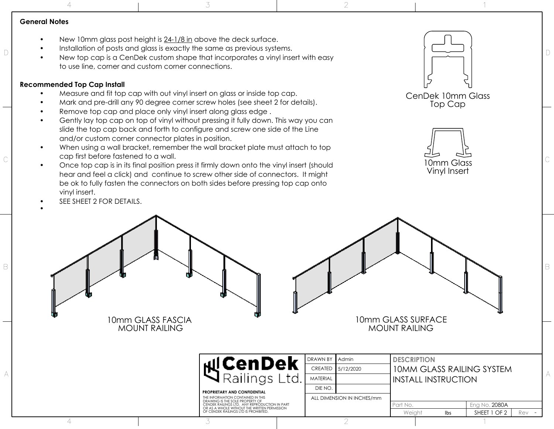**General Notes**

- New 10mm glass post height is 24-1/8 in above the deck surface.
- Installation of posts and glass is exactly the same as previous systems.
- $\Box$ <br>• New top cap is a CenDek custom shape that incorporates a vinyl insert with easy  $\Box$ to use line, corner and custom corner connections.

3

## **Recommended Top Cap Install**

4

- Measure and fit top cap with out vinyl insert on glass or inside top cap.
- Mark and pre-drill any 90 degree corner screw holes (see sheet 2 for details).
- Remove top cap and place only vinyl insert along glass edge.
- Gently lay top cap on top of vinyl without pressing it fully down. This way you can slide the top cap back and forth to configure and screw one side of the Line and/or custom corner connector plates in position.
- When using a wall bracket, remember the wall bracket plate must attach to top cap first before fastened to a wall.  $\sim$  C  $\sim$  C  $\sim$  C  $\sim$  C  $\sim$  C  $\sim$  C  $\sim$  C  $\sim$  C  $\sim$  C  $\sim$  C  $\sim$  C  $\sim$  C  $\sim$  C  $\sim$  C  $\sim$  C  $\sim$  C  $\sim$  C  $\sim$  C  $\sim$  C  $\sim$  C  $\sim$  C  $\sim$  C  $\sim$  C  $\sim$  C  $\sim$  C  $\sim$  C  $\sim$  C  $\sim$  C  $\sim$  C  $\sim$  C  $\sim$  C  $\sim$ 
	- Once top cap is in its final position press it firmly down onto the vinyl insert (should hear and feel a click) and continue to screw other side of connectors. It might be ok to fully fasten the connectors on both sides before pressing top cap onto vinyl insert.

3

SEE SHEET 2 FOR DETAILS.



1





•

1

10mm GLASS FASCIA MOUNT RAILING 10mm GLASS SURFACE MOUNT RAILING Rev Eng No. Part No. 2080A DRAWN BY Weight lbs SHEET 1 OF 2 **DESCRIPTION PROPRIETARY AND CONFIDENTIAL** THE INFORMATION CONTAINED IN THIS DRAWING IS THE SOLE PROPERTY OF CENDEK RAILINGS LTD. ANY REPRODUCTION IN PART OR AS A WHOLE WITHOUT THE WRITTEN PERMISSION OF CENDEK RAILINGS LTD IS PROHIBITED. 5/12/2020 Admin  $\overline{a}$  $\mathbb{A}$   $\mathbb{R}$   $\mathbb{R}$   $\mathbb{R}$   $\mathbb{R}$   $\mathbb{R}$  ailings Ltd. 10MM GLASS RAILING SYSTEM INSTALL INSTRUCTION ALL DIMENSION IN INCHES/mm MATERIAL DIE NO. CREATED

2

2

 $\mathbb{B}$  and  $\mathbb{B}$  be the set of  $\mathbb{B}$  be the set of  $\mathbb{B}$  be the set of  $\mathbb{B}$  be the set of  $\mathbb{B}$ 

4